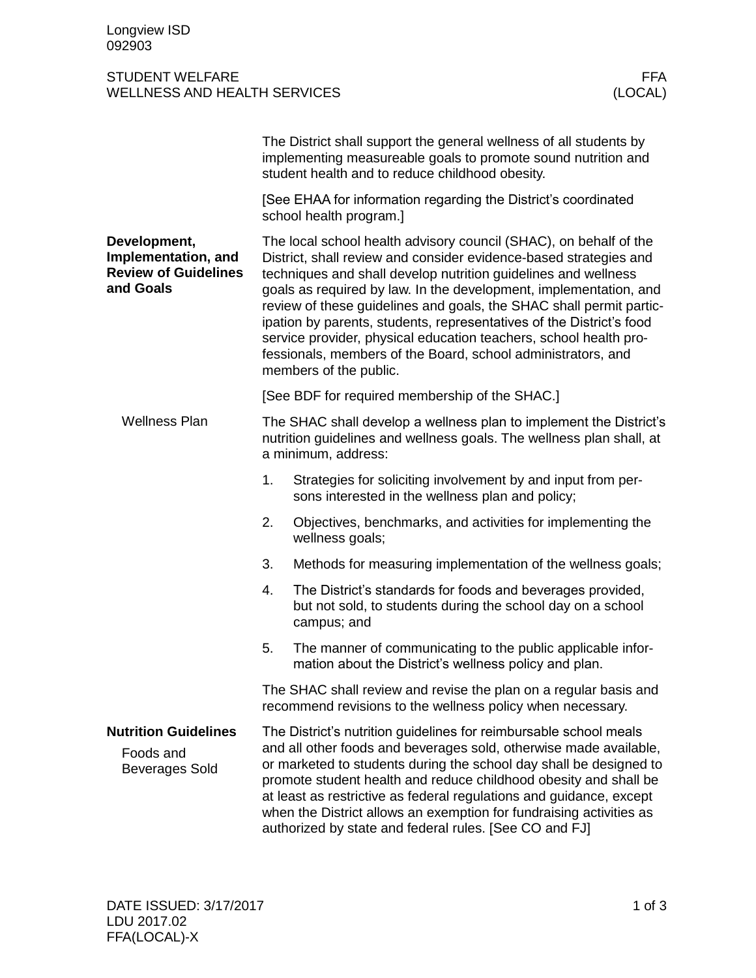## STUDENT WELFARE FFA<br>
WELLNESS AND HEALTH SERVICES (LOCAL) WELLNESS AND HEALTH SERVICES

|                                                                                 |                                                                                                                                                                                                                                                                                                                                                                                                                                                                                                                                                                                             | The District shall support the general wellness of all students by<br>implementing measureable goals to promote sound nutrition and<br>student health and to reduce childhood obesity. |  |
|---------------------------------------------------------------------------------|---------------------------------------------------------------------------------------------------------------------------------------------------------------------------------------------------------------------------------------------------------------------------------------------------------------------------------------------------------------------------------------------------------------------------------------------------------------------------------------------------------------------------------------------------------------------------------------------|----------------------------------------------------------------------------------------------------------------------------------------------------------------------------------------|--|
|                                                                                 |                                                                                                                                                                                                                                                                                                                                                                                                                                                                                                                                                                                             | [See EHAA for information regarding the District's coordinated<br>school health program.]                                                                                              |  |
| Development,<br>Implementation, and<br><b>Review of Guidelines</b><br>and Goals | The local school health advisory council (SHAC), on behalf of the<br>District, shall review and consider evidence-based strategies and<br>techniques and shall develop nutrition guidelines and wellness<br>goals as required by law. In the development, implementation, and<br>review of these guidelines and goals, the SHAC shall permit partic-<br>ipation by parents, students, representatives of the District's food<br>service provider, physical education teachers, school health pro-<br>fessionals, members of the Board, school administrators, and<br>members of the public. |                                                                                                                                                                                        |  |
|                                                                                 |                                                                                                                                                                                                                                                                                                                                                                                                                                                                                                                                                                                             | [See BDF for required membership of the SHAC.]                                                                                                                                         |  |
| <b>Wellness Plan</b>                                                            | The SHAC shall develop a wellness plan to implement the District's<br>nutrition guidelines and wellness goals. The wellness plan shall, at<br>a minimum, address:                                                                                                                                                                                                                                                                                                                                                                                                                           |                                                                                                                                                                                        |  |
|                                                                                 | 1.                                                                                                                                                                                                                                                                                                                                                                                                                                                                                                                                                                                          | Strategies for soliciting involvement by and input from per-<br>sons interested in the wellness plan and policy;                                                                       |  |
|                                                                                 | 2.                                                                                                                                                                                                                                                                                                                                                                                                                                                                                                                                                                                          | Objectives, benchmarks, and activities for implementing the<br>wellness goals;                                                                                                         |  |
|                                                                                 | 3.                                                                                                                                                                                                                                                                                                                                                                                                                                                                                                                                                                                          | Methods for measuring implementation of the wellness goals;                                                                                                                            |  |
|                                                                                 | 4.                                                                                                                                                                                                                                                                                                                                                                                                                                                                                                                                                                                          | The District's standards for foods and beverages provided,<br>but not sold, to students during the school day on a school<br>campus; and                                               |  |
|                                                                                 | 5.                                                                                                                                                                                                                                                                                                                                                                                                                                                                                                                                                                                          | The manner of communicating to the public applicable infor-<br>mation about the District's wellness policy and plan.                                                                   |  |
|                                                                                 |                                                                                                                                                                                                                                                                                                                                                                                                                                                                                                                                                                                             | The SHAC shall review and revise the plan on a regular basis and<br>recommend revisions to the wellness policy when necessary.                                                         |  |
| <b>Nutrition Guidelines</b><br>Foods and<br><b>Beverages Sold</b>               | The District's nutrition guidelines for reimbursable school meals<br>and all other foods and beverages sold, otherwise made available,<br>or marketed to students during the school day shall be designed to<br>promote student health and reduce childhood obesity and shall be<br>at least as restrictive as federal regulations and guidance, except<br>when the District allows an exemption for fundraising activities as<br>authorized by state and federal rules. [See CO and FJ]                                                                                                    |                                                                                                                                                                                        |  |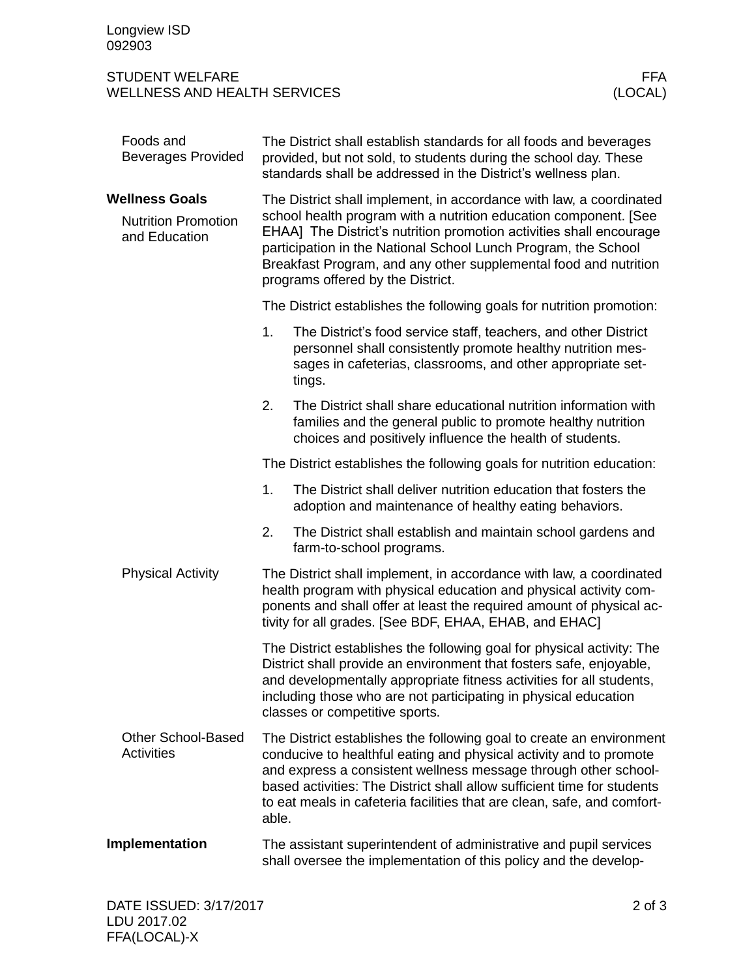## STUDENT WELFARE FFA WELLNESS AND HEALTH SERVICES

|                                                                      | Foods and<br><b>Beverages Provided</b>         | The District shall establish standards for all foods and beverages<br>provided, but not sold, to students during the school day. These<br>standards shall be addressed in the District's wellness plan.                                                                                                                                                                                   |                                                                                                                                                                                                                                                                                                                                                                     |  |  |
|----------------------------------------------------------------------|------------------------------------------------|-------------------------------------------------------------------------------------------------------------------------------------------------------------------------------------------------------------------------------------------------------------------------------------------------------------------------------------------------------------------------------------------|---------------------------------------------------------------------------------------------------------------------------------------------------------------------------------------------------------------------------------------------------------------------------------------------------------------------------------------------------------------------|--|--|
| <b>Wellness Goals</b><br><b>Nutrition Promotion</b><br>and Education |                                                | The District shall implement, in accordance with law, a coordinated<br>school health program with a nutrition education component. [See<br>EHAA] The District's nutrition promotion activities shall encourage<br>participation in the National School Lunch Program, the School<br>Breakfast Program, and any other supplemental food and nutrition<br>programs offered by the District. |                                                                                                                                                                                                                                                                                                                                                                     |  |  |
|                                                                      |                                                | The District establishes the following goals for nutrition promotion:                                                                                                                                                                                                                                                                                                                     |                                                                                                                                                                                                                                                                                                                                                                     |  |  |
|                                                                      |                                                | 1.                                                                                                                                                                                                                                                                                                                                                                                        | The District's food service staff, teachers, and other District<br>personnel shall consistently promote healthy nutrition mes-<br>sages in cafeterias, classrooms, and other appropriate set-<br>tings.                                                                                                                                                             |  |  |
|                                                                      |                                                | 2.                                                                                                                                                                                                                                                                                                                                                                                        | The District shall share educational nutrition information with<br>families and the general public to promote healthy nutrition<br>choices and positively influence the health of students.                                                                                                                                                                         |  |  |
|                                                                      |                                                |                                                                                                                                                                                                                                                                                                                                                                                           | The District establishes the following goals for nutrition education:                                                                                                                                                                                                                                                                                               |  |  |
|                                                                      |                                                | 1.                                                                                                                                                                                                                                                                                                                                                                                        | The District shall deliver nutrition education that fosters the<br>adoption and maintenance of healthy eating behaviors.                                                                                                                                                                                                                                            |  |  |
|                                                                      |                                                | 2.                                                                                                                                                                                                                                                                                                                                                                                        | The District shall establish and maintain school gardens and<br>farm-to-school programs.                                                                                                                                                                                                                                                                            |  |  |
|                                                                      | <b>Physical Activity</b>                       |                                                                                                                                                                                                                                                                                                                                                                                           | The District shall implement, in accordance with law, a coordinated<br>health program with physical education and physical activity com-<br>ponents and shall offer at least the required amount of physical ac-<br>tivity for all grades. [See BDF, EHAA, EHAB, and EHAC]                                                                                          |  |  |
|                                                                      |                                                | The District establishes the following goal for physical activity: The<br>District shall provide an environment that fosters safe, enjoyable,<br>and developmentally appropriate fitness activities for all students,<br>including those who are not participating in physical education<br>classes or competitive sports.                                                                |                                                                                                                                                                                                                                                                                                                                                                     |  |  |
|                                                                      | <b>Other School-Based</b><br><b>Activities</b> | able.                                                                                                                                                                                                                                                                                                                                                                                     | The District establishes the following goal to create an environment<br>conducive to healthful eating and physical activity and to promote<br>and express a consistent wellness message through other school-<br>based activities: The District shall allow sufficient time for students<br>to eat meals in cafeteria facilities that are clean, safe, and comfort- |  |  |
| Implementation                                                       |                                                | The assistant superintendent of administrative and pupil services<br>shall oversee the implementation of this policy and the develop-                                                                                                                                                                                                                                                     |                                                                                                                                                                                                                                                                                                                                                                     |  |  |
|                                                                      |                                                |                                                                                                                                                                                                                                                                                                                                                                                           |                                                                                                                                                                                                                                                                                                                                                                     |  |  |